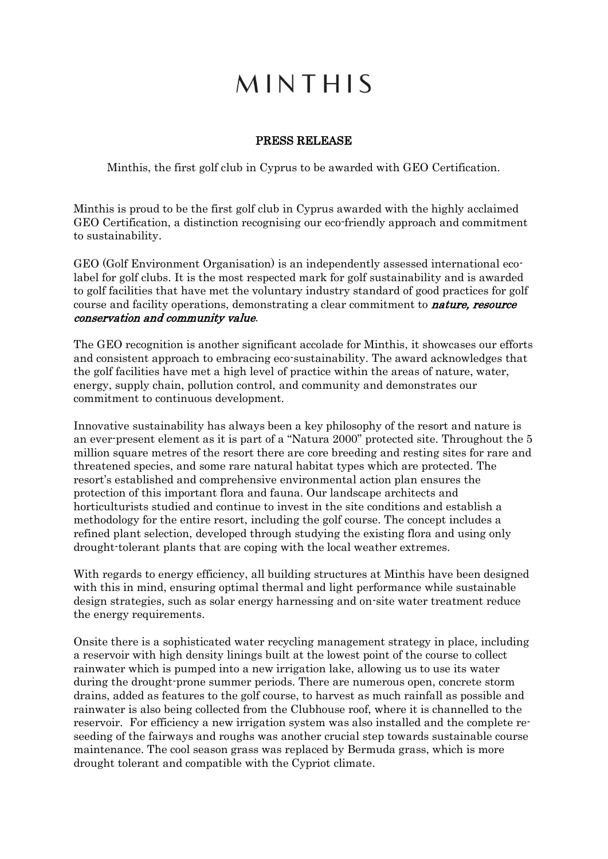## MINTHIS

## PRESS RELEASE

Minthis, the first golf club in Cyprus to be awarded with GEO Certification.

Minthis is proud to be the first golf club in Cyprus awarded with the highly acclaimed GEO Certification, a distinction recognising our eco-friendly approach and commitment to sustainability.

GEO (Golf Environment Organisation) is an independently assessed international ecolabel for golf clubs. It is the most respected mark for golf sustainability and is awarded to golf facilities that have met the voluntary industry standard of good practices for golf course and facility operations, demonstrating a clear commitment to **nature**, resource conservation and community value.

The GEO recognition is another significant accolade for Minthis, it showcases our efforts and consistent approach to embracing eco-sustainability. The award acknowledges that the golf facilities have met a high level of practice within the areas of nature, water, energy, supply chain, pollution control, and community and demonstrates our commitment to continuous development.

Innovative sustainability has always been a key philosophy of the resort and nature is an ever-present element as it is part of a "Natura 2000" protected site. Throughout the 5 million square metres of the resort there are core breeding and resting sites for rare and threatened species, and some rare natural habitat types which are protected. The resort's established and comprehensive environmental action plan ensures the protection of this important flora and fauna. Our landscape architects and horticulturists studied and continue to invest in the site conditions and establish a methodology for the entire resort, including the golf course. The concept includes a refined plant selection, developed through studying the existing flora and using only drought-tolerant plants that are coping with the local weather extremes.

With regards to energy efficiency, all building structures at Minthis have been designed with this in mind, ensuring optimal thermal and light performance while sustainable design strategies, such as solar energy harnessing and on-site water treatment reduce the energy requirements.

Onsite there is a sophisticated water recycling management strategy in place, including a reservoir with high density linings built at the lowest point of the course to collect rainwater which is pumped into a new irrigation lake, allowing us to use its water during the drought-prone summer periods. There are numerous open, concrete storm drains, added as features to the golf course, to harvest as much rainfall as possible and rainwater is also being collected from the Clubhouse roof, where it is channelled to the reservoir. For efficiency a new irrigation system was also installed and the complete reseeding of the fairways and roughs was another crucial step towards sustainable course maintenance. The cool season grass was replaced by Bermuda grass, which is more drought tolerant and compatible with the Cypriot climate.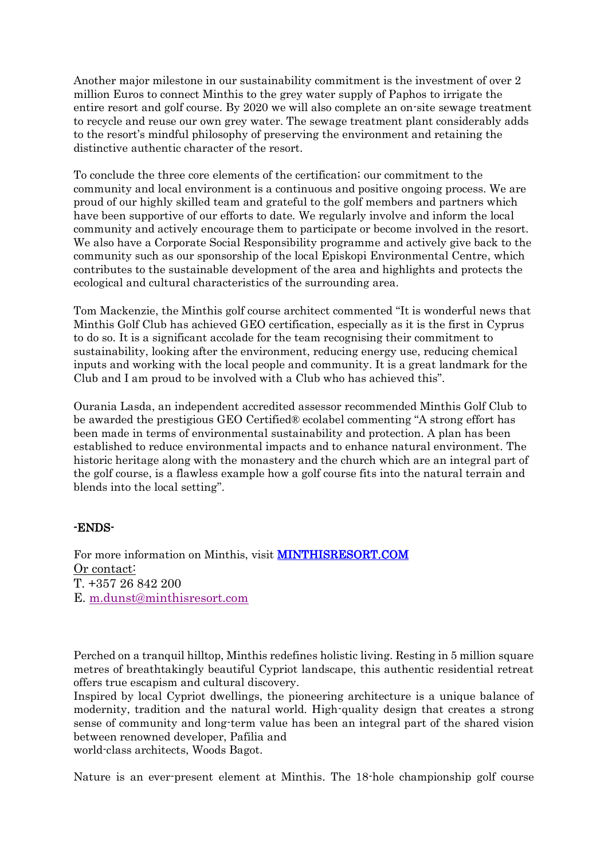Another major milestone in our sustainability commitment is the investment of over 2 million Euros to connect Minthis to the grey water supply of Paphos to irrigate the entire resort and golf course. By 2020 we will also complete an on-site sewage treatment to recycle and reuse our own grey water. The sewage treatment plant considerably adds to the resort's mindful philosophy of preserving the environment and retaining the distinctive authentic character of the resort.

To conclude the three core elements of the certification; our commitment to the community and local environment is a continuous and positive ongoing process. We are proud of our highly skilled team and grateful to the golf members and partners which have been supportive of our efforts to date. We regularly involve and inform the local community and actively encourage them to participate or become involved in the resort. We also have a Corporate Social Responsibility programme and actively give back to the community such as our sponsorship of the local Episkopi Environmental Centre, which contributes to the sustainable development of the area and highlights and protects the ecological and cultural characteristics of the surrounding area.

Tom Mackenzie, the Minthis golf course architect commented "It is wonderful news that Minthis Golf Club has achieved GEO certification, especially as it is the first in Cyprus to do so. It is a significant accolade for the team recognising their commitment to sustainability, looking after the environment, reducing energy use, reducing chemical inputs and working with the local people and community. It is a great landmark for the Club and I am proud to be involved with a Club who has achieved this".

Ourania Lasda, an independent accredited assessor recommended Minthis Golf Club to be awarded the prestigious GEO Certified® ecolabel commenting "A strong effort has been made in terms of environmental sustainability and protection. A plan has been established to reduce environmental impacts and to enhance natural environment. The historic heritage along with the monastery and the church which are an integral part of the golf course, is a flawless example how a golf course fits into the natural terrain and blends into the local setting".

## -ENDS-

For more information on Minthis, visit [MINTHISRESORT.COM](http://minthisresort.com/)  Or contact: T. +357 26 842 200 E. [m.dunst@minthisresort.com](mailto:m.dunst@minthisresort.com)

Perched on a tranquil hilltop, Minthis redefines holistic living. Resting in 5 million square metres of breathtakingly beautiful Cypriot landscape, this authentic residential retreat offers true escapism and cultural discovery.

Inspired by local Cypriot dwellings, the pioneering architecture is a unique balance of modernity, tradition and the natural world. High-quality design that creates a strong sense of community and long-term value has been an integral part of the shared vision between renowned developer, Pafilia and

world-class architects, Woods Bagot.

Nature is an ever-present element at Minthis. The 18-hole championship golf course